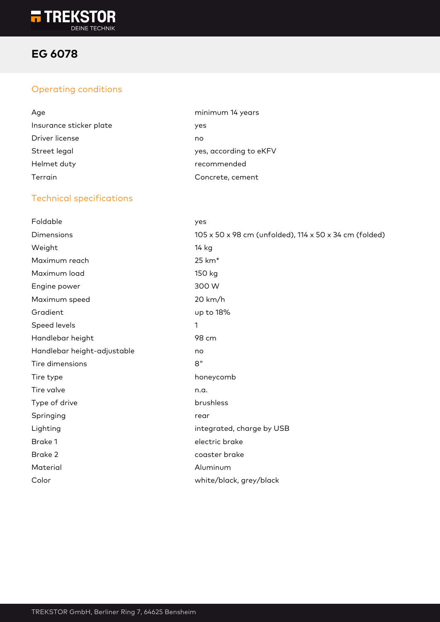

# **EG 6078**

## Operating conditions

| Age                     | minimum 14 years       |
|-------------------------|------------------------|
| Insurance sticker plate | yes                    |
| Driver license          | no                     |
| Street legal            | yes, according to eKFV |
| Helmet duty             | recommended            |
| Terrain                 | Concrete, cement       |

#### Technical specifications

| Foldable                    | yes                                                    |
|-----------------------------|--------------------------------------------------------|
| Dimensions                  | 105 x 50 x 98 cm (unfolded), 114 x 50 x 34 cm (folded) |
| Weight                      | 14 kg                                                  |
| Maximum reach               | 25 km <sup>*</sup>                                     |
| Maximum load                | 150 kg                                                 |
| Engine power                | 300 W                                                  |
| Maximum speed               | 20 km/h                                                |
| Gradient                    | up to 18%                                              |
| Speed levels                | 1                                                      |
| Handlebar height            | 98 cm                                                  |
| Handlebar height-adjustable | no                                                     |
| Tire dimensions             | 8"                                                     |
| Tire type                   | honeycomb                                              |
| Tire valve                  | n.a.                                                   |
| Type of drive               | brushless                                              |
| Springing                   | rear                                                   |
| Lighting                    | integrated, charge by USB                              |
| Brake 1                     | electric brake                                         |
| Brake 2                     | coaster brake                                          |
| Material                    | Aluminum                                               |
| Color                       | white/black, grey/black                                |
|                             |                                                        |